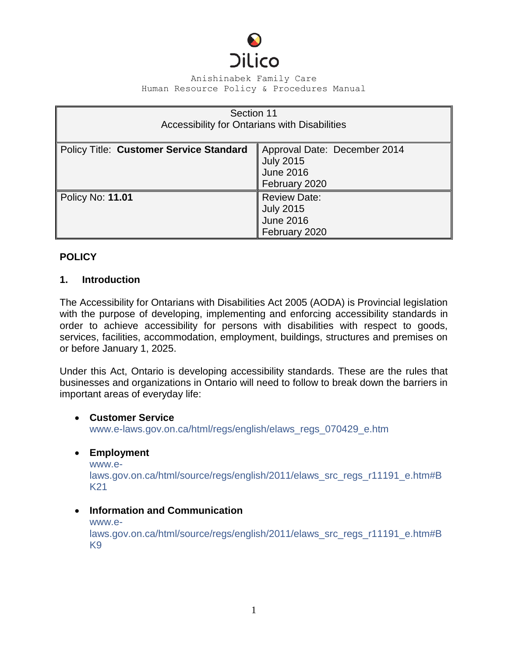

| Section 11<br>Accessibility for Ontarians with Disabilities |                                                                                       |
|-------------------------------------------------------------|---------------------------------------------------------------------------------------|
| <b>Policy Title: Customer Service Standard</b>              | Approval Date: December 2014<br><b>July 2015</b><br><b>June 2016</b><br>February 2020 |
| Policy No: 11.01                                            | <b>Review Date:</b><br><b>July 2015</b><br><b>June 2016</b><br>February 2020          |

# **POLICY**

## **1. Introduction**

The Accessibility for Ontarians with Disabilities Act 2005 (AODA) is Provincial legislation with the purpose of developing, implementing and enforcing accessibility standards in order to achieve accessibility for persons with disabilities with respect to goods, services, facilities, accommodation, employment, buildings, structures and premises on or before January 1, 2025.

Under this Act, Ontario is developing accessibility standards. These are the rules that businesses and organizations in Ontario will need to follow to break down the barriers in important areas of everyday life:

#### **Customer Service**

[www.e-laws.gov.on.ca/html/regs/english/elaws\\_regs\\_070429\\_e.htm](http://www.e-laws.gov.on.ca/html/regs/english/elaws_regs_070429_e.htm)

## **Employment**

[www.e](http://www.e-laws.gov.on.ca/html/source/regs/english/2011/elaws_src_regs_r11191_e.htm#BK21)[laws.gov.on.ca/html/source/regs/english/2011/elaws\\_src\\_regs\\_r11191\\_e.htm#B](http://www.e-laws.gov.on.ca/html/source/regs/english/2011/elaws_src_regs_r11191_e.htm#BK21) [K21](http://www.e-laws.gov.on.ca/html/source/regs/english/2011/elaws_src_regs_r11191_e.htm#BK21)

## **Information and Communication**

[www.e-](http://www.e-laws.gov.on.ca/html/source/regs/english/2011/elaws_src_regs_r11191_e.htm#BK9)

[laws.gov.on.ca/html/source/regs/english/2011/elaws\\_src\\_regs\\_r11191\\_e.htm#B](http://www.e-laws.gov.on.ca/html/source/regs/english/2011/elaws_src_regs_r11191_e.htm#BK9) [K9](http://www.e-laws.gov.on.ca/html/source/regs/english/2011/elaws_src_regs_r11191_e.htm#BK9)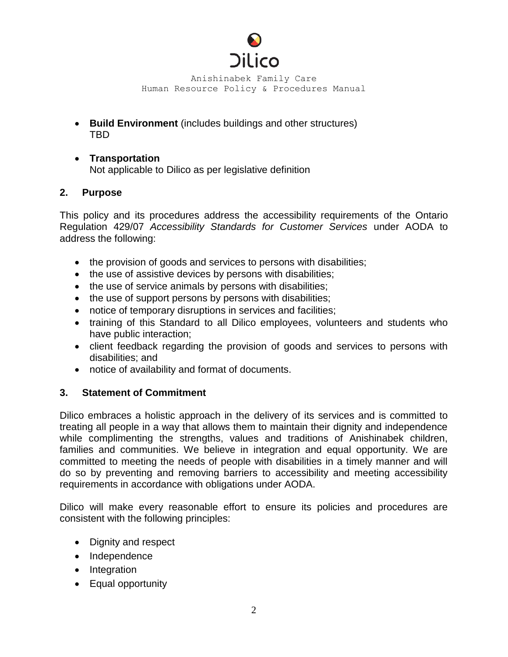

- **Build Environment** (includes buildings and other structures) TBD
- **Transportation** Not applicable to Dilico as per legislative definition

### **2. Purpose**

This policy and its procedures address the accessibility requirements of the Ontario Regulation 429/07 *Accessibility Standards for Customer Services* under AODA to address the following:

- the provision of goods and services to persons with disabilities;
- the use of assistive devices by persons with disabilities;
- the use of service animals by persons with disabilities;
- the use of support persons by persons with disabilities;
- notice of temporary disruptions in services and facilities;
- training of this Standard to all Dilico employees, volunteers and students who have public interaction;
- client feedback regarding the provision of goods and services to persons with disabilities; and
- notice of availability and format of documents.

## **3. Statement of Commitment**

Dilico embraces a holistic approach in the delivery of its services and is committed to treating all people in a way that allows them to maintain their dignity and independence while complimenting the strengths, values and traditions of Anishinabek children, families and communities. We believe in integration and equal opportunity. We are committed to meeting the needs of people with disabilities in a timely manner and will do so by preventing and removing barriers to accessibility and meeting accessibility requirements in accordance with obligations under AODA.

Dilico will make every reasonable effort to ensure its policies and procedures are consistent with the following principles:

- Dignity and respect
- Independence
- Integration
- Equal opportunity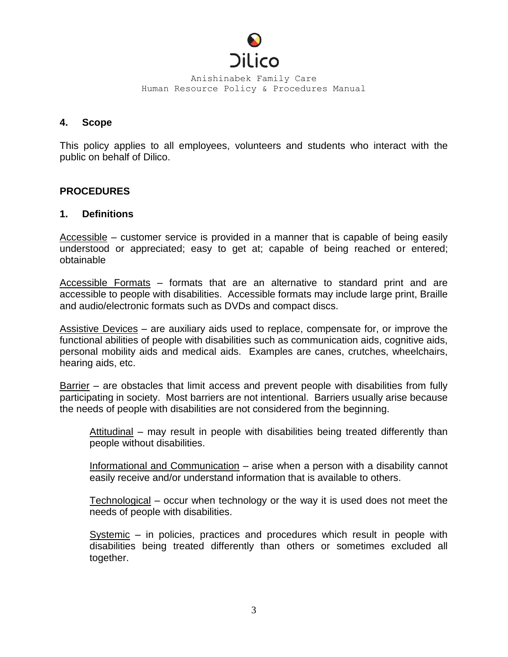

#### **4. Scope**

This policy applies to all employees, volunteers and students who interact with the public on behalf of Dilico.

### **PROCEDURES**

### **1. Definitions**

Accessible – customer service is provided in a manner that is capable of being easily understood or appreciated; easy to get at; capable of being reached or entered; obtainable

Accessible Formats – formats that are an alternative to standard print and are accessible to people with disabilities. Accessible formats may include large print, Braille and audio/electronic formats such as DVDs and compact discs.

Assistive Devices – are auxiliary aids used to replace, compensate for, or improve the functional abilities of people with disabilities such as communication aids, cognitive aids, personal mobility aids and medical aids. Examples are canes, crutches, wheelchairs, hearing aids, etc.

Barrier – are obstacles that limit access and prevent people with disabilities from fully participating in society. Most barriers are not intentional. Barriers usually arise because the needs of people with disabilities are not considered from the beginning.

Attitudinal – may result in people with disabilities being treated differently than people without disabilities.

Informational and Communication – arise when a person with a disability cannot easily receive and/or understand information that is available to others.

Technological – occur when technology or the way it is used does not meet the needs of people with disabilities.

Systemic – in policies, practices and procedures which result in people with disabilities being treated differently than others or sometimes excluded all together.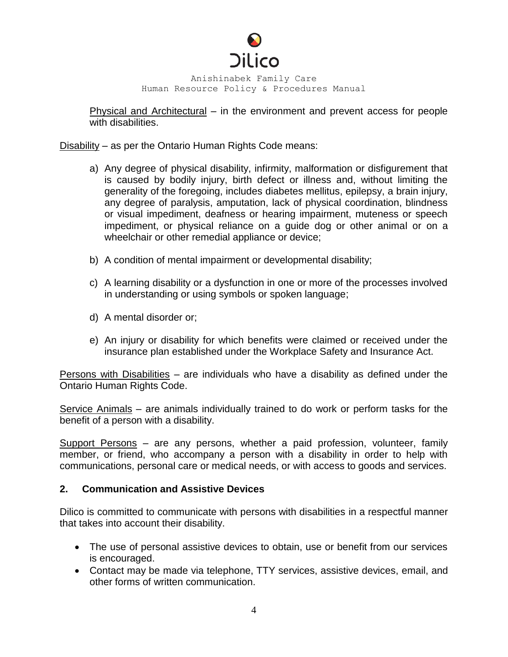

Physical and Architectural – in the environment and prevent access for people with disabilities.

Disability – as per the Ontario Human Rights Code means:

- a) Any degree of physical disability, infirmity, malformation or disfigurement that is caused by bodily injury, birth defect or illness and, without limiting the generality of the foregoing, includes diabetes mellitus, epilepsy, a brain injury, any degree of paralysis, amputation, lack of physical coordination, blindness or visual impediment, deafness or hearing impairment, muteness or speech impediment, or physical reliance on a guide dog or other animal or on a wheelchair or other remedial appliance or device;
- b) A condition of mental impairment or developmental disability;
- c) A learning disability or a dysfunction in one or more of the processes involved in understanding or using symbols or spoken language;
- d) A mental disorder or;
- e) An injury or disability for which benefits were claimed or received under the insurance plan established under the Workplace Safety and Insurance Act.

Persons with Disabilities – are individuals who have a disability as defined under the Ontario Human Rights Code.

Service Animals – are animals individually trained to do work or perform tasks for the benefit of a person with a disability.

Support Persons – are any persons, whether a paid profession, volunteer, family member, or friend, who accompany a person with a disability in order to help with communications, personal care or medical needs, or with access to goods and services.

#### **2. Communication and Assistive Devices**

Dilico is committed to communicate with persons with disabilities in a respectful manner that takes into account their disability.

- The use of personal assistive devices to obtain, use or benefit from our services is encouraged.
- Contact may be made via telephone, TTY services, assistive devices, email, and other forms of written communication.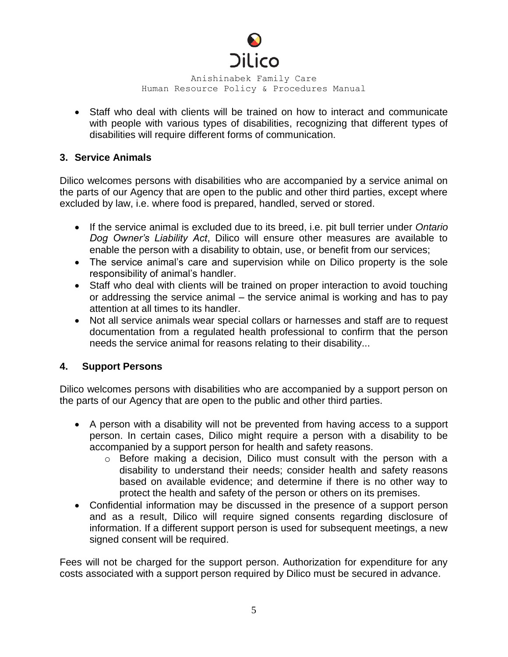

 Staff who deal with clients will be trained on how to interact and communicate with people with various types of disabilities, recognizing that different types of disabilities will require different forms of communication.

## **3. Service Animals**

Dilico welcomes persons with disabilities who are accompanied by a service animal on the parts of our Agency that are open to the public and other third parties, except where excluded by law, i.e. where food is prepared, handled, served or stored.

- If the service animal is excluded due to its breed, i.e. pit bull terrier under *Ontario Dog Owner's Liability Act*, Dilico will ensure other measures are available to enable the person with a disability to obtain, use, or benefit from our services;
- The service animal's care and supervision while on Dilico property is the sole responsibility of animal's handler.
- Staff who deal with clients will be trained on proper interaction to avoid touching or addressing the service animal – the service animal is working and has to pay attention at all times to its handler.
- Not all service animals wear special collars or harnesses and staff are to request documentation from a regulated health professional to confirm that the person needs the service animal for reasons relating to their disability...

# **4. Support Persons**

Dilico welcomes persons with disabilities who are accompanied by a support person on the parts of our Agency that are open to the public and other third parties.

- A person with a disability will not be prevented from having access to a support person. In certain cases, Dilico might require a person with a disability to be accompanied by a support person for health and safety reasons.
	- o Before making a decision, Dilico must consult with the person with a disability to understand their needs; consider health and safety reasons based on available evidence; and determine if there is no other way to protect the health and safety of the person or others on its premises.
- Confidential information may be discussed in the presence of a support person and as a result, Dilico will require signed consents regarding disclosure of information. If a different support person is used for subsequent meetings, a new signed consent will be required.

Fees will not be charged for the support person. Authorization for expenditure for any costs associated with a support person required by Dilico must be secured in advance.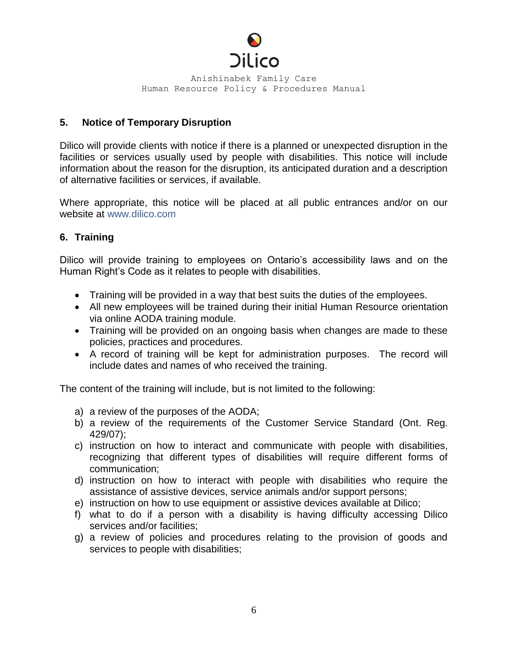

# **5. Notice of Temporary Disruption**

Dilico will provide clients with notice if there is a planned or unexpected disruption in the facilities or services usually used by people with disabilities. This notice will include information about the reason for the disruption, its anticipated duration and a description of alternative facilities or services, if available.

Where appropriate, this notice will be placed at all public entrances and/or on our website at [www.dilico.com](http://www.dilico.com/)

# **6. Training**

Dilico will provide training to employees on Ontario's accessibility laws and on the Human Right's Code as it relates to people with disabilities.

- Training will be provided in a way that best suits the duties of the employees.
- All new employees will be trained during their initial Human Resource orientation via online AODA training module.
- Training will be provided on an ongoing basis when changes are made to these policies, practices and procedures.
- A record of training will be kept for administration purposes. The record will include dates and names of who received the training.

The content of the training will include, but is not limited to the following:

- a) a review of the purposes of the AODA;
- b) a review of the requirements of the Customer Service Standard (Ont. Reg. 429/07);
- c) instruction on how to interact and communicate with people with disabilities, recognizing that different types of disabilities will require different forms of communication;
- d) instruction on how to interact with people with disabilities who require the assistance of assistive devices, service animals and/or support persons;
- e) instruction on how to use equipment or assistive devices available at Dilico;
- f) what to do if a person with a disability is having difficulty accessing Dilico services and/or facilities;
- g) a review of policies and procedures relating to the provision of goods and services to people with disabilities;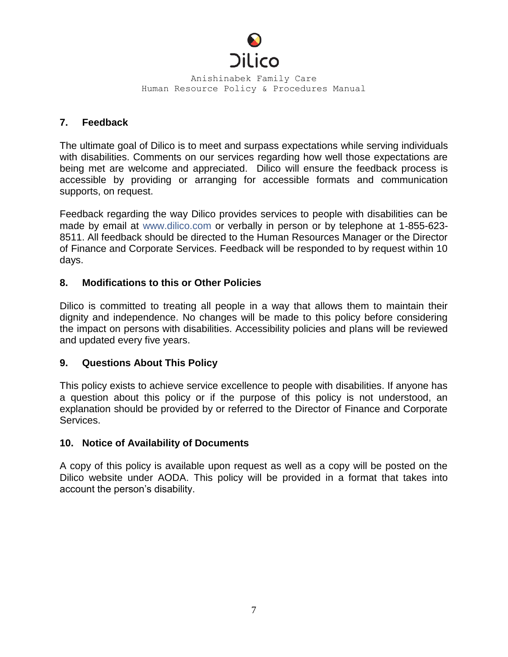

## **7. Feedback**

The ultimate goal of Dilico is to meet and surpass expectations while serving individuals with disabilities. Comments on our services regarding how well those expectations are being met are welcome and appreciated. Dilico will ensure the feedback process is accessible by providing or arranging for accessible formats and communication supports, on request.

Feedback regarding the way Dilico provides services to people with disabilities can be made by email at [www.dilico.com](http://www.dilico.com/) or verbally in person or by telephone at 1-855-623- 8511. All feedback should be directed to the Human Resources Manager or the Director of Finance and Corporate Services. Feedback will be responded to by request within 10 days.

# **8. Modifications to this or Other Policies**

Dilico is committed to treating all people in a way that allows them to maintain their dignity and independence. No changes will be made to this policy before considering the impact on persons with disabilities. Accessibility policies and plans will be reviewed and updated every five years.

## **9. Questions About This Policy**

This policy exists to achieve service excellence to people with disabilities. If anyone has a question about this policy or if the purpose of this policy is not understood, an explanation should be provided by or referred to the Director of Finance and Corporate Services.

## **10. Notice of Availability of Documents**

A copy of this policy is available upon request as well as a copy will be posted on the Dilico website under AODA. This policy will be provided in a format that takes into account the person's disability.